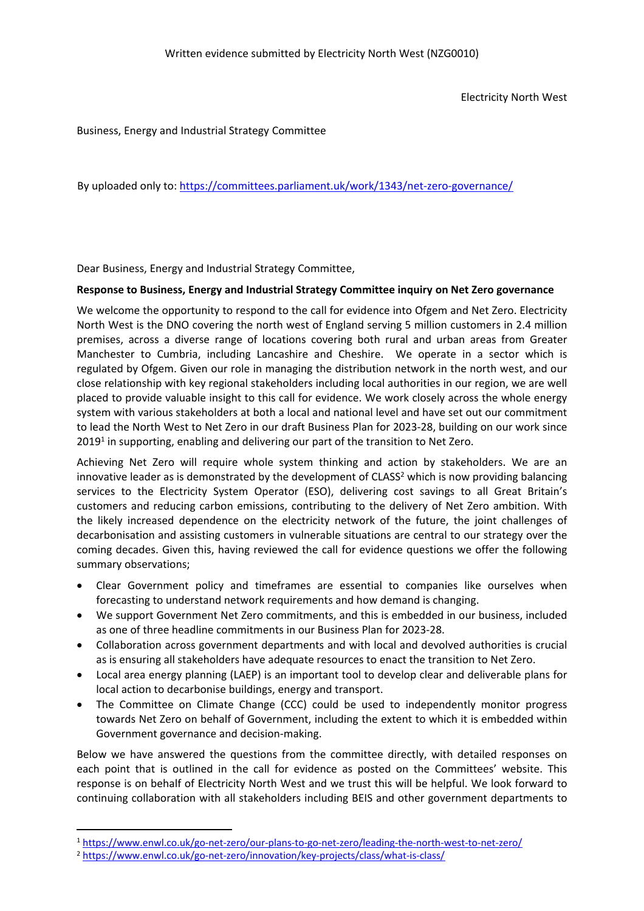Electricity North West

Business, Energy and Industrial Strategy Committee

By uploaded only to: <https://committees.parliament.uk/work/1343/net-zero-governance/>

Dear Business, Energy and Industrial Strategy Committee,

#### **Response to Business, Energy and Industrial Strategy Committee inquiry on Net Zero governance**

We welcome the opportunity to respond to the call for evidence into Ofgem and Net Zero. Electricity North West is the DNO covering the north west of England serving 5 million customers in 2.4 million premises, across a diverse range of locations covering both rural and urban areas from Greater Manchester to Cumbria, including Lancashire and Cheshire. We operate in a sector which is regulated by Ofgem. Given our role in managing the distribution network in the north west, and our close relationship with key regional stakeholders including local authorities in our region, we are well placed to provide valuable insight to this call for evidence. We work closely across the whole energy system with various stakeholders at both a local and national level and have set out our commitment to lead the North West to Net Zero in our draft Business Plan for 2023-28, building on our work since 2019<sup>1</sup> in supporting, enabling and delivering our part of the transition to Net Zero.

Achieving Net Zero will require whole system thinking and action by stakeholders. We are an innovative leader as is demonstrated by the development of CLASS<sup>2</sup> which is now providing balancing services to the Electricity System Operator (ESO), delivering cost savings to all Great Britain's customers and reducing carbon emissions, contributing to the delivery of Net Zero ambition. With the likely increased dependence on the electricity network of the future, the joint challenges of decarbonisation and assisting customers in vulnerable situations are central to our strategy over the coming decades. Given this, having reviewed the call for evidence questions we offer the following summary observations;

- Clear Government policy and timeframes are essential to companies like ourselves when forecasting to understand network requirements and how demand is changing.
- We support Government Net Zero commitments, and this is embedded in our business, included as one of three headline commitments in our Business Plan for 2023-28.
- Collaboration across government departments and with local and devolved authorities is crucial as is ensuring all stakeholders have adequate resources to enact the transition to Net Zero.
- Local area energy planning (LAEP) is an important tool to develop clear and deliverable plans for local action to decarbonise buildings, energy and transport.
- The Committee on Climate Change (CCC) could be used to independently monitor progress towards Net Zero on behalf of Government, including the extent to which it is embedded within Government governance and decision-making.

Below we have answered the questions from the committee directly, with detailed responses on each point that is outlined in the call for evidence as posted on the Committees' website. This response is on behalf of Electricity North West and we trust this will be helpful. We look forward to continuing collaboration with all stakeholders including BEIS and other government departments to

<sup>1</sup> <https://www.enwl.co.uk/go-net-zero/our-plans-to-go-net-zero/leading-the-north-west-to-net-zero/>

<sup>&</sup>lt;sup>2</sup> <https://www.enwl.co.uk/go-net-zero/innovation/key-projects/class/what-is-class/>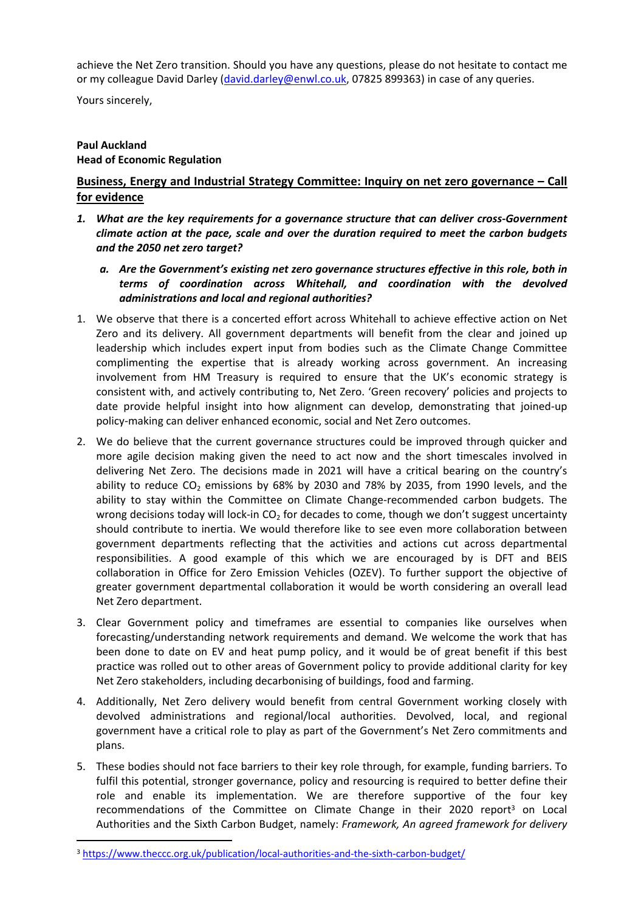achieve the Net Zero transition. Should you have any questions, please do not hesitate to contact me or my colleague David Darley ([david.darley@enwl.co.uk](mailto:david.darley@enwl.co.uk), 07825 899363) in case of any queries.

Yours sincerely,

# **Paul Auckland Head of Economic Regulation**

# **Business, Energy and Industrial Strategy Committee: Inquiry on net zero governance – Call for evidence**

- *1. What are the key requirements for a governance structure that can deliver cross-Government climate action at the pace, scale and over the duration required to meet the carbon budgets and the 2050 net zero target?*
	- *a. Are the Government's existing net zero governance structures effective in this role, both in terms of coordination across Whitehall, and coordination with the devolved administrations and local and regional authorities?*
- 1. We observe that there is a concerted effort across Whitehall to achieve effective action on Net Zero and its delivery. All government departments will benefit from the clear and joined up leadership which includes expert input from bodies such as the Climate Change Committee complimenting the expertise that is already working across government. An increasing involvement from HM Treasury is required to ensure that the UK's economic strategy is consistent with, and actively contributing to, Net Zero. 'Green recovery' policies and projects to date provide helpful insight into how alignment can develop, demonstrating that joined-up policy-making can deliver enhanced economic, social and Net Zero outcomes.
- 2. We do believe that the current governance structures could be improved through quicker and more agile decision making given the need to act now and the short timescales involved in delivering Net Zero. The decisions made in 2021 will have a critical bearing on the country's ability to reduce  $CO<sub>2</sub>$  emissions by 68% by 2030 and 78% by 2035, from 1990 levels, and the ability to stay within the Committee on Climate Change-recommended carbon budgets. The wrong decisions today will lock-in  $CO<sub>2</sub>$  for decades to come, though we don't suggest uncertainty should contribute to inertia. We would therefore like to see even more collaboration between government departments reflecting that the activities and actions cut across departmental responsibilities. A good example of this which we are encouraged by is DFT and BEIS collaboration in Office for Zero Emission Vehicles (OZEV). To further support the objective of greater government departmental collaboration it would be worth considering an overall lead Net Zero department.
- 3. Clear Government policy and timeframes are essential to companies like ourselves when forecasting/understanding network requirements and demand. We welcome the work that has been done to date on EV and heat pump policy, and it would be of great benefit if this best practice was rolled out to other areas of Government policy to provide additional clarity for key Net Zero stakeholders, including decarbonising of buildings, food and farming.
- 4. Additionally, Net Zero delivery would benefit from central Government working closely with devolved administrations and regional/local authorities. Devolved, local, and regional government have a critical role to play as part of the Government's Net Zero commitments and plans.
- 5. These bodies should not face barriers to their key role through, for example, funding barriers. To fulfil this potential, stronger governance, policy and resourcing is required to better define their role and enable its implementation. We are therefore supportive of the four key recommendations of the Committee on Climate Change in their 2020 report<sup>3</sup> on Local Authorities and the Sixth Carbon Budget, namely: *Framework, An agreed framework for delivery*

<sup>3</sup> <https://www.theccc.org.uk/publication/local-authorities-and-the-sixth-carbon-budget/>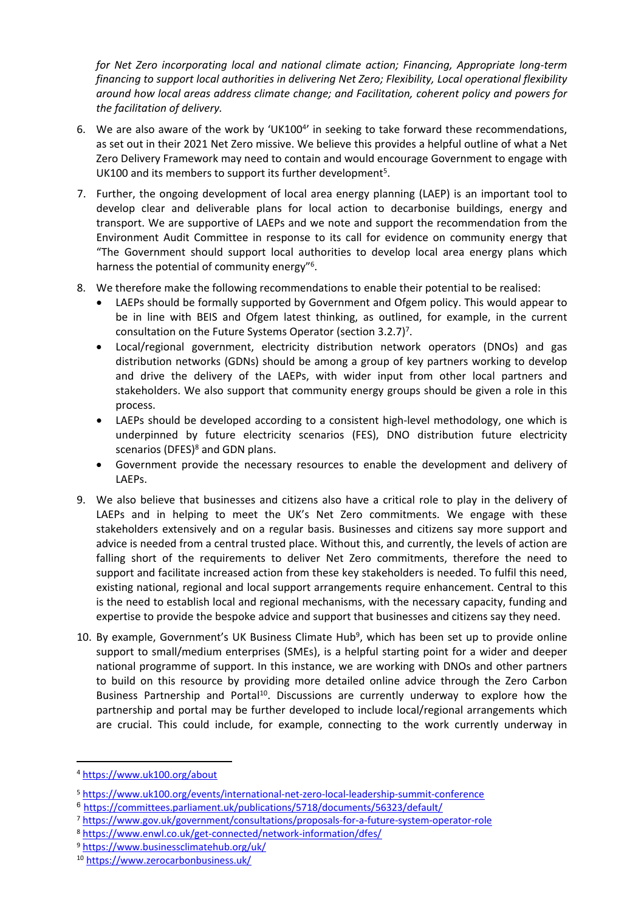*for Net Zero incorporating local and national climate action; Financing, Appropriate long-term financing to support local authorities in delivering Net Zero; Flexibility, Local operational flexibility around how local areas address climate change; and Facilitation, coherent policy and powers for the facilitation of delivery.*

- 6. We are also aware of the work by 'UK100<sup>4</sup>' in seeking to take forward these recommendations, as set out in their 2021 Net Zero missive. We believe this provides a helpful outline of what a Net Zero Delivery Framework may need to contain and would encourage Government to engage with UK100 and its members to support its further development<sup>5</sup>.
- 7. Further, the ongoing development of local area energy planning (LAEP) is an important tool to develop clear and deliverable plans for local action to decarbonise buildings, energy and transport. We are supportive of LAEPs and we note and support the recommendation from the Environment Audit Committee in response to its call for evidence on community energy that "The Government should support local authorities to develop local area energy plans which harness the potential of community energy"<sup>6</sup>.
- 8. We therefore make the following recommendations to enable their potential to be realised:
	- LAEPs should be formally supported by Government and Ofgem policy. This would appear to be in line with BEIS and Ofgem latest thinking, as outlined, for example, in the current consultation on the Future Systems Operator (section 3.2.7)<sup>7</sup>.
	- Local/regional government, electricity distribution network operators (DNOs) and gas distribution networks (GDNs) should be among a group of key partners working to develop and drive the delivery of the LAEPs, with wider input from other local partners and stakeholders. We also support that community energy groups should be given a role in this process.
	- LAEPs should be developed according to a consistent high-level methodology, one which is underpinned by future electricity scenarios (FES), DNO distribution future electricity scenarios (DFES)<sup>8</sup> and GDN plans.
	- Government provide the necessary resources to enable the development and delivery of LAEPs.
- 9. We also believe that businesses and citizens also have a critical role to play in the delivery of LAEPs and in helping to meet the UK's Net Zero commitments. We engage with these stakeholders extensively and on a regular basis. Businesses and citizens say more support and advice is needed from a central trusted place. Without this, and currently, the levels of action are falling short of the requirements to deliver Net Zero commitments, therefore the need to support and facilitate increased action from these key stakeholders is needed. To fulfil this need, existing national, regional and local support arrangements require enhancement. Central to this is the need to establish local and regional mechanisms, with the necessary capacity, funding and expertise to provide the bespoke advice and support that businesses and citizens say they need.
- 10. By example, Government's UK Business Climate Hub<sup>9</sup>, which has been set up to provide online support to small/medium enterprises (SMEs), is a helpful starting point for a wider and deeper national programme of support. In this instance, we are working with DNOs and other partners to build on this resource by providing more detailed online advice through the Zero Carbon Business Partnership and Portal<sup>10</sup>. Discussions are currently underway to explore how the partnership and portal may be further developed to include local/regional arrangements which are crucial. This could include, for example, connecting to the work currently underway in

<sup>6</sup> <https://committees.parliament.uk/publications/5718/documents/56323/default/>

<sup>9</sup> <https://www.businessclimatehub.org/uk/>

<sup>4</sup> <https://www.uk100.org/about>

<sup>5</sup> <https://www.uk100.org/events/international-net-zero-local-leadership-summit-conference>

<sup>7</sup> <https://www.gov.uk/government/consultations/proposals-for-a-future-system-operator-role>

<sup>8</sup> <https://www.enwl.co.uk/get-connected/network-information/dfes/>

<sup>10</sup> <https://www.zerocarbonbusiness.uk/>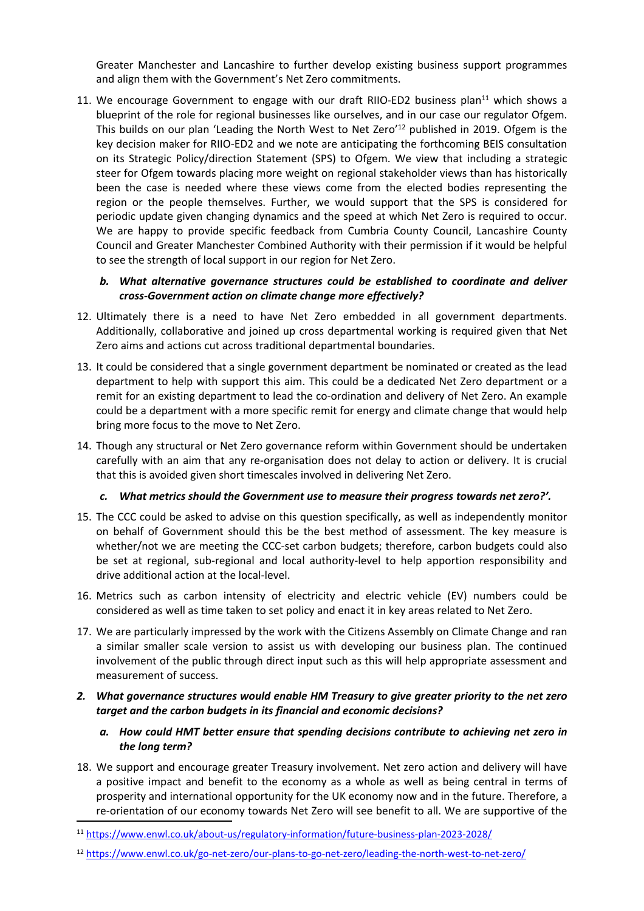Greater Manchester and Lancashire to further develop existing business support programmes and align them with the Government's Net Zero commitments.

11. We encourage Government to engage with our draft RIIO-ED2 business plan<sup>11</sup> which shows a blueprint of the role for regional businesses like ourselves, and in our case our regulator Ofgem. This builds on our plan 'Leading the North West to Net Zero'<sup>12</sup> published in 2019. Ofgem is the key decision maker for RIIO-ED2 and we note are anticipating the forthcoming BEIS consultation on its Strategic Policy/direction Statement (SPS) to Ofgem. We view that including a strategic steer for Ofgem towards placing more weight on regional stakeholder views than has historically been the case is needed where these views come from the elected bodies representing the region or the people themselves. Further, we would support that the SPS is considered for periodic update given changing dynamics and the speed at which Net Zero is required to occur. We are happy to provide specific feedback from Cumbria County Council, Lancashire County Council and Greater Manchester Combined Authority with their permission if it would be helpful to see the strength of local support in our region for Net Zero.

## *b. What alternative governance structures could be established to coordinate and deliver cross-Government action on climate change more effectively?*

- 12. Ultimately there is a need to have Net Zero embedded in all government departments. Additionally, collaborative and joined up cross departmental working is required given that Net Zero aims and actions cut across traditional departmental boundaries.
- 13. It could be considered that a single government department be nominated or created as the lead department to help with support this aim. This could be a dedicated Net Zero department or a remit for an existing department to lead the co-ordination and delivery of Net Zero. An example could be a department with a more specific remit for energy and climate change that would help bring more focus to the move to Net Zero.
- 14. Though any structural or Net Zero governance reform within Government should be undertaken carefully with an aim that any re-organisation does not delay to action or delivery. It is crucial that this is avoided given short timescales involved in delivering Net Zero.

# *c. What metrics should the Government use to measure their progress towards net zero?'.*

- 15. The CCC could be asked to advise on this question specifically, as well as independently monitor on behalf of Government should this be the best method of assessment. The key measure is whether/not we are meeting the CCC-set carbon budgets; therefore, carbon budgets could also be set at regional, sub-regional and local authority-level to help apportion responsibility and drive additional action at the local-level.
- 16. Metrics such as carbon intensity of electricity and electric vehicle (EV) numbers could be considered as well as time taken to set policy and enact it in key areas related to Net Zero.
- 17. We are particularly impressed by the work with the Citizens Assembly on Climate Change and ran a similar smaller scale version to assist us with developing our business plan. The continued involvement of the public through direct input such as this will help appropriate assessment and measurement of success.

# *2. What governance structures would enable HM Treasury to give greater priority to the net zero target and the carbon budgets in its financial and economic decisions?*

- *a. How could HMT better ensure that spending decisions contribute to achieving net zero in the long term?*
- 18. We support and encourage greater Treasury involvement. Net zero action and delivery will have a positive impact and benefit to the economy as a whole as well as being central in terms of prosperity and international opportunity for the UK economy now and in the future. Therefore, a re-orientation of our economy towards Net Zero will see benefit to all. We are supportive of the

<sup>11</sup> <https://www.enwl.co.uk/about-us/regulatory-information/future-business-plan-2023-2028/>

<sup>12</sup> <https://www.enwl.co.uk/go-net-zero/our-plans-to-go-net-zero/leading-the-north-west-to-net-zero/>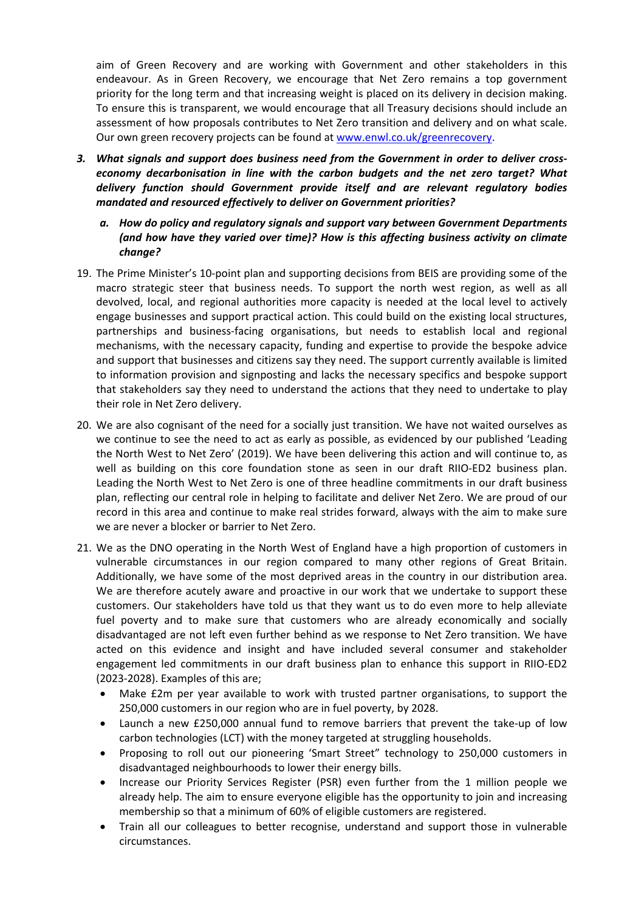aim of Green Recovery and are working with Government and other stakeholders in this endeavour. As in Green Recovery, we encourage that Net Zero remains a top government priority for the long term and that increasing weight is placed on its delivery in decision making. To ensure this is transparent, we would encourage that all Treasury decisions should include an assessment of how proposals contributes to Net Zero transition and delivery and on what scale. Our own green recovery projects can be found at [www.enwl.co.uk/greenrecovery.](http://www.enwl.co.uk/greenrecovery)

- *3. What signals and support does business need from the Government in order to deliver crosseconomy decarbonisation in line with the carbon budgets and the net zero target? What delivery function should Government provide itself and are relevant regulatory bodies mandated and resourced effectively to deliver on Government priorities?*
	- *a. How do policy and regulatory signals and support vary between Government Departments (and how have they varied over time)? How is this affecting business activity on climate change?*
- 19. The Prime Minister's 10-point plan and supporting decisions from BEIS are providing some of the macro strategic steer that business needs. To support the north west region, as well as all devolved, local, and regional authorities more capacity is needed at the local level to actively engage businesses and support practical action. This could build on the existing local structures, partnerships and business-facing organisations, but needs to establish local and regional mechanisms, with the necessary capacity, funding and expertise to provide the bespoke advice and support that businesses and citizens say they need. The support currently available is limited to information provision and signposting and lacks the necessary specifics and bespoke support that stakeholders say they need to understand the actions that they need to undertake to play their role in Net Zero delivery.
- 20. We are also cognisant of the need for a socially just transition. We have not waited ourselves as we continue to see the need to act as early as possible, as evidenced by our published 'Leading the North West to Net Zero' (2019). We have been delivering this action and will continue to, as well as building on this core foundation stone as seen in our draft RIIO-ED2 business plan. Leading the North West to Net Zero is one of three headline commitments in our draft business plan, reflecting our central role in helping to facilitate and deliver Net Zero. We are proud of our record in this area and continue to make real strides forward, always with the aim to make sure we are never a blocker or barrier to Net Zero.
- 21. We as the DNO operating in the North West of England have a high proportion of customers in vulnerable circumstances in our region compared to many other regions of Great Britain. Additionally, we have some of the most deprived areas in the country in our distribution area. We are therefore acutely aware and proactive in our work that we undertake to support these customers. Our stakeholders have told us that they want us to do even more to help alleviate fuel poverty and to make sure that customers who are already economically and socially disadvantaged are not left even further behind as we response to Net Zero transition. We have acted on this evidence and insight and have included several consumer and stakeholder engagement led commitments in our draft business plan to enhance this support in RIIO-ED2 (2023-2028). Examples of this are;
	- Make £2m per year available to work with trusted partner organisations, to support the 250,000 customers in our region who are in fuel poverty, by 2028.
	- Launch a new £250,000 annual fund to remove barriers that prevent the take-up of low carbon technologies (LCT) with the money targeted at struggling households.
	- Proposing to roll out our pioneering 'Smart Street" technology to 250,000 customers in disadvantaged neighbourhoods to lower their energy bills.
	- Increase our Priority Services Register (PSR) even further from the 1 million people we already help. The aim to ensure everyone eligible has the opportunity to join and increasing membership so that a minimum of 60% of eligible customers are registered.
	- Train all our colleagues to better recognise, understand and support those in vulnerable circumstances.